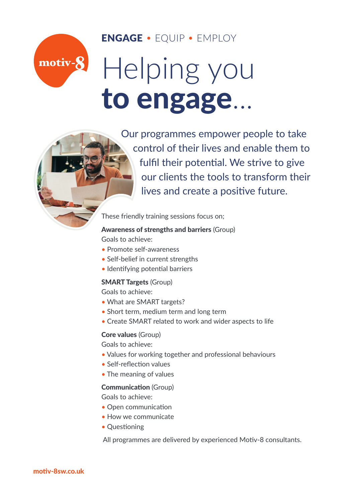### ENGAGE • EQUIP • EMPLOY

# Helping you to engage...



motiv-8

Our programmes empower people to take control of their lives and enable them to fulfil their potential. We strive to give our clients the tools to transform their lives and create a positive future.

These friendly training sessions focus on;

#### Awareness of strengths and barriers (Group)

Goals to achieve:

- Promote self-awareness
- Self-belief in current strengths
- Identifying potential barriers

#### SMART Targets (Group)

Goals to achieve:

- What are SMART targets?
- Short term, medium term and long term
- Create SMART related to work and wider aspects to life

#### Core values (Group)

Goals to achieve:

- Values for working together and professional behaviours
- Self-reflection values
- The meaning of values

#### Communication (Group)

Goals to achieve:

- Open communication
- How we communicate
- Questioning

All programmes are delivered by experienced Motiv-8 consultants.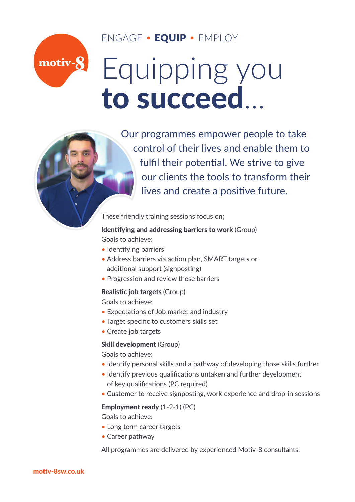## ENGAGE • EQUIP • EMPLOY

# motiv-8 Equipping you to succeed...



Our programmes empower people to take control of their lives and enable them to fulfil their potential. We strive to give our clients the tools to transform their lives and create a positive future.

These friendly training sessions focus on;

#### Identifying and addressing barriers to work (Group) Goals to achieve:

- Identifying barriers
- Address barriers via action plan, SMART targets or additional support (signposting)
- Progression and review these barriers

#### Realistic job targets (Group)

Goals to achieve:

- Expectations of Job market and industry
- Target specific to customers skills set
- Create job targets

#### Skill development (Group)

Goals to achieve:

- Identify personal skills and a pathway of developing those skills further
- Identify previous qualifications untaken and further development of key qualifications (PC required)
- Customer to receive signposting, work experience and drop-in sessions

#### Employment ready (1-2-1) (PC)

Goals to achieve:

- Long term career targets
- Career pathway

All programmes are delivered by experienced Motiv-8 consultants.